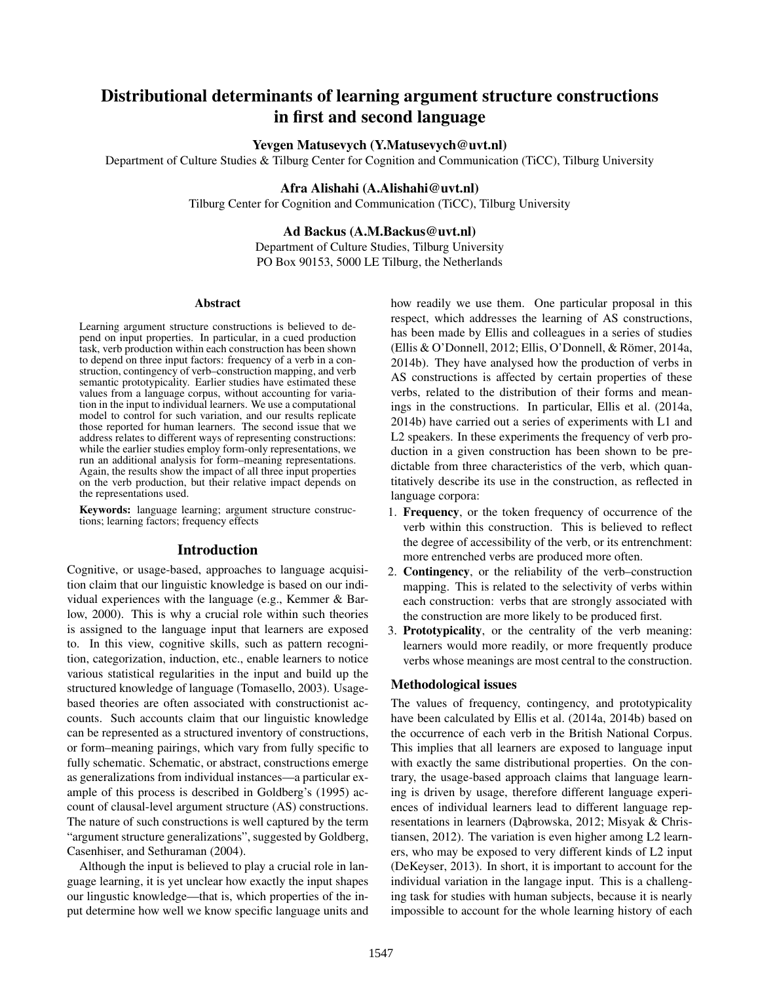# Distributional determinants of learning argument structure constructions in first and second language

# Yevgen Matusevych (Y.Matusevych@uvt.nl)

Department of Culture Studies & Tilburg Center for Cognition and Communication (TiCC), Tilburg University

## Afra Alishahi (A.Alishahi@uvt.nl)

Tilburg Center for Cognition and Communication (TiCC), Tilburg University

# Ad Backus (A.M.Backus@uvt.nl)

Department of Culture Studies, Tilburg University PO Box 90153, 5000 LE Tilburg, the Netherlands

#### Abstract

Learning argument structure constructions is believed to depend on input properties. In particular, in a cued production task, verb production within each construction has been shown to depend on three input factors: frequency of a verb in a construction, contingency of verb–construction mapping, and verb semantic prototypicality. Earlier studies have estimated these values from a language corpus, without accounting for variation in the input to individual learners. We use a computational model to control for such variation, and our results replicate those reported for human learners. The second issue that we address relates to different ways of representing constructions: while the earlier studies employ form-only representations, we run an additional analysis for form–meaning representations. Again, the results show the impact of all three input properties on the verb production, but their relative impact depends on the representations used.

Keywords: language learning; argument structure constructions; learning factors; frequency effects

## Introduction

Cognitive, or usage-based, approaches to language acquisition claim that our linguistic knowledge is based on our individual experiences with the language (e.g., Kemmer & Barlow, 2000). This is why a crucial role within such theories is assigned to the language input that learners are exposed to. In this view, cognitive skills, such as pattern recognition, categorization, induction, etc., enable learners to notice various statistical regularities in the input and build up the structured knowledge of language (Tomasello, 2003). Usagebased theories are often associated with constructionist accounts. Such accounts claim that our linguistic knowledge can be represented as a structured inventory of constructions, or form–meaning pairings, which vary from fully specific to fully schematic. Schematic, or abstract, constructions emerge as generalizations from individual instances—a particular example of this process is described in Goldberg's (1995) account of clausal-level argument structure (AS) constructions. The nature of such constructions is well captured by the term "argument structure generalizations", suggested by Goldberg, Casenhiser, and Sethuraman (2004).

Although the input is believed to play a crucial role in language learning, it is yet unclear how exactly the input shapes our lingustic knowledge—that is, which properties of the input determine how well we know specific language units and how readily we use them. One particular proposal in this respect, which addresses the learning of AS constructions, has been made by Ellis and colleagues in a series of studies (Ellis & O'Donnell, 2012; Ellis, O'Donnell, & Römer, 2014a, 2014b). They have analysed how the production of verbs in AS constructions is affected by certain properties of these verbs, related to the distribution of their forms and meanings in the constructions. In particular, Ellis et al. (2014a, 2014b) have carried out a series of experiments with L1 and L2 speakers. In these experiments the frequency of verb production in a given construction has been shown to be predictable from three characteristics of the verb, which quantitatively describe its use in the construction, as reflected in language corpora:

- 1. Frequency, or the token frequency of occurrence of the verb within this construction. This is believed to reflect the degree of accessibility of the verb, or its entrenchment: more entrenched verbs are produced more often.
- 2. Contingency, or the reliability of the verb–construction mapping. This is related to the selectivity of verbs within each construction: verbs that are strongly associated with the construction are more likely to be produced first.
- 3. Prototypicality, or the centrality of the verb meaning: learners would more readily, or more frequently produce verbs whose meanings are most central to the construction.

## Methodological issues

The values of frequency, contingency, and prototypicality have been calculated by Ellis et al. (2014a, 2014b) based on the occurrence of each verb in the British National Corpus. This implies that all learners are exposed to language input with exactly the same distributional properties. On the contrary, the usage-based approach claims that language learning is driven by usage, therefore different language experiences of individual learners lead to different language representations in learners (Dąbrowska, 2012; Misyak & Christiansen, 2012). The variation is even higher among L2 learners, who may be exposed to very different kinds of L2 input (DeKeyser, 2013). In short, it is important to account for the individual variation in the langage input. This is a challenging task for studies with human subjects, because it is nearly impossible to account for the whole learning history of each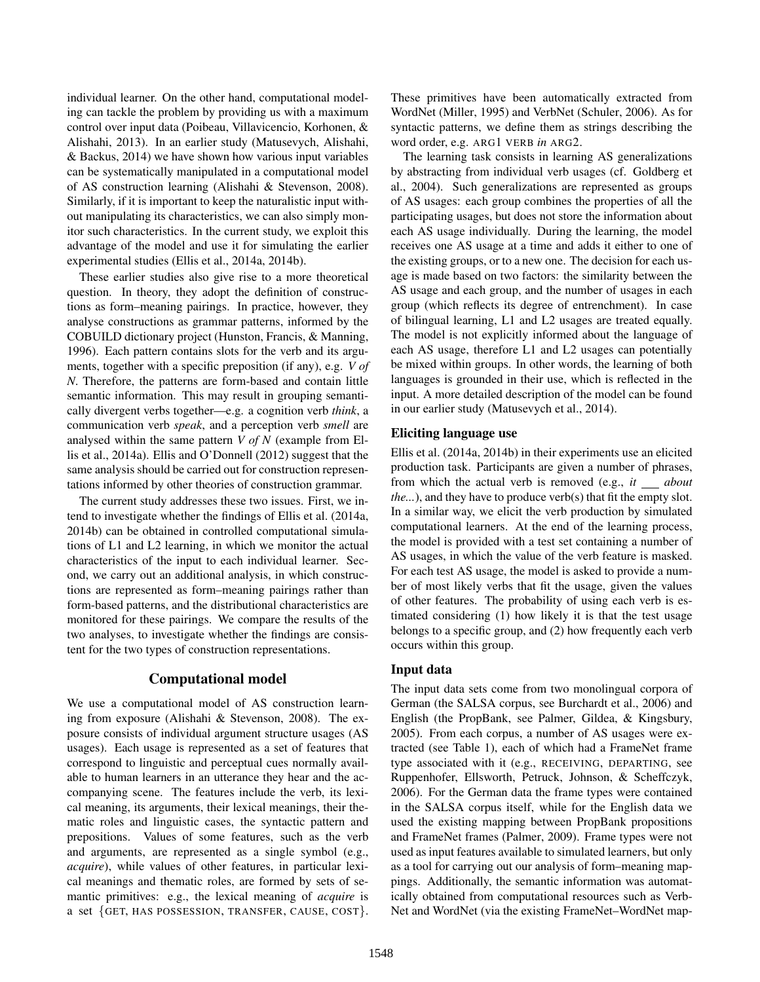individual learner. On the other hand, computational modeling can tackle the problem by providing us with a maximum control over input data (Poibeau, Villavicencio, Korhonen, & Alishahi, 2013). In an earlier study (Matusevych, Alishahi, & Backus, 2014) we have shown how various input variables can be systematically manipulated in a computational model of AS construction learning (Alishahi & Stevenson, 2008). Similarly, if it is important to keep the naturalistic input without manipulating its characteristics, we can also simply monitor such characteristics. In the current study, we exploit this advantage of the model and use it for simulating the earlier experimental studies (Ellis et al., 2014a, 2014b).

These earlier studies also give rise to a more theoretical question. In theory, they adopt the definition of constructions as form–meaning pairings. In practice, however, they analyse constructions as grammar patterns, informed by the COBUILD dictionary project (Hunston, Francis, & Manning, 1996). Each pattern contains slots for the verb and its arguments, together with a specific preposition (if any), e.g. *V of N*. Therefore, the patterns are form-based and contain little semantic information. This may result in grouping semantically divergent verbs together—e.g. a cognition verb *think*, a communication verb *speak*, and a perception verb *smell* are analysed within the same pattern *V of N* (example from Ellis et al., 2014a). Ellis and O'Donnell (2012) suggest that the same analysis should be carried out for construction representations informed by other theories of construction grammar.

The current study addresses these two issues. First, we intend to investigate whether the findings of Ellis et al. (2014a, 2014b) can be obtained in controlled computational simulations of L1 and L2 learning, in which we monitor the actual characteristics of the input to each individual learner. Second, we carry out an additional analysis, in which constructions are represented as form–meaning pairings rather than form-based patterns, and the distributional characteristics are monitored for these pairings. We compare the results of the two analyses, to investigate whether the findings are consistent for the two types of construction representations.

# Computational model

We use a computational model of AS construction learning from exposure (Alishahi & Stevenson, 2008). The exposure consists of individual argument structure usages (AS usages). Each usage is represented as a set of features that correspond to linguistic and perceptual cues normally available to human learners in an utterance they hear and the accompanying scene. The features include the verb, its lexical meaning, its arguments, their lexical meanings, their thematic roles and linguistic cases, the syntactic pattern and prepositions. Values of some features, such as the verb and arguments, are represented as a single symbol (e.g., *acquire*), while values of other features, in particular lexical meanings and thematic roles, are formed by sets of semantic primitives: e.g., the lexical meaning of *acquire* is a set {GET, HAS POSSESSION, TRANSFER, CAUSE, COST}. These primitives have been automatically extracted from WordNet (Miller, 1995) and VerbNet (Schuler, 2006). As for syntactic patterns, we define them as strings describing the word order, e.g. ARG1 VERB *in* ARG2.

The learning task consists in learning AS generalizations by abstracting from individual verb usages (cf. Goldberg et al., 2004). Such generalizations are represented as groups of AS usages: each group combines the properties of all the participating usages, but does not store the information about each AS usage individually. During the learning, the model receives one AS usage at a time and adds it either to one of the existing groups, or to a new one. The decision for each usage is made based on two factors: the similarity between the AS usage and each group, and the number of usages in each group (which reflects its degree of entrenchment). In case of bilingual learning, L1 and L2 usages are treated equally. The model is not explicitly informed about the language of each AS usage, therefore L1 and L2 usages can potentially be mixed within groups. In other words, the learning of both languages is grounded in their use, which is reflected in the input. A more detailed description of the model can be found in our earlier study (Matusevych et al., 2014).

# Eliciting language use

Ellis et al. (2014a, 2014b) in their experiments use an elicited production task. Participants are given a number of phrases, from which the actual verb is removed (e.g., *it* \_\_ about *the...*), and they have to produce verb(s) that fit the empty slot. In a similar way, we elicit the verb production by simulated computational learners. At the end of the learning process, the model is provided with a test set containing a number of AS usages, in which the value of the verb feature is masked. For each test AS usage, the model is asked to provide a number of most likely verbs that fit the usage, given the values of other features. The probability of using each verb is estimated considering (1) how likely it is that the test usage belongs to a specific group, and (2) how frequently each verb occurs within this group.

## Input data

The input data sets come from two monolingual corpora of German (the SALSA corpus, see Burchardt et al., 2006) and English (the PropBank, see Palmer, Gildea, & Kingsbury, 2005). From each corpus, a number of AS usages were extracted (see Table 1), each of which had a FrameNet frame type associated with it (e.g., RECEIVING, DEPARTING, see Ruppenhofer, Ellsworth, Petruck, Johnson, & Scheffczyk, 2006). For the German data the frame types were contained in the SALSA corpus itself, while for the English data we used the existing mapping between PropBank propositions and FrameNet frames (Palmer, 2009). Frame types were not used as input features available to simulated learners, but only as a tool for carrying out our analysis of form–meaning mappings. Additionally, the semantic information was automatically obtained from computational resources such as Verb-Net and WordNet (via the existing FrameNet–WordNet map-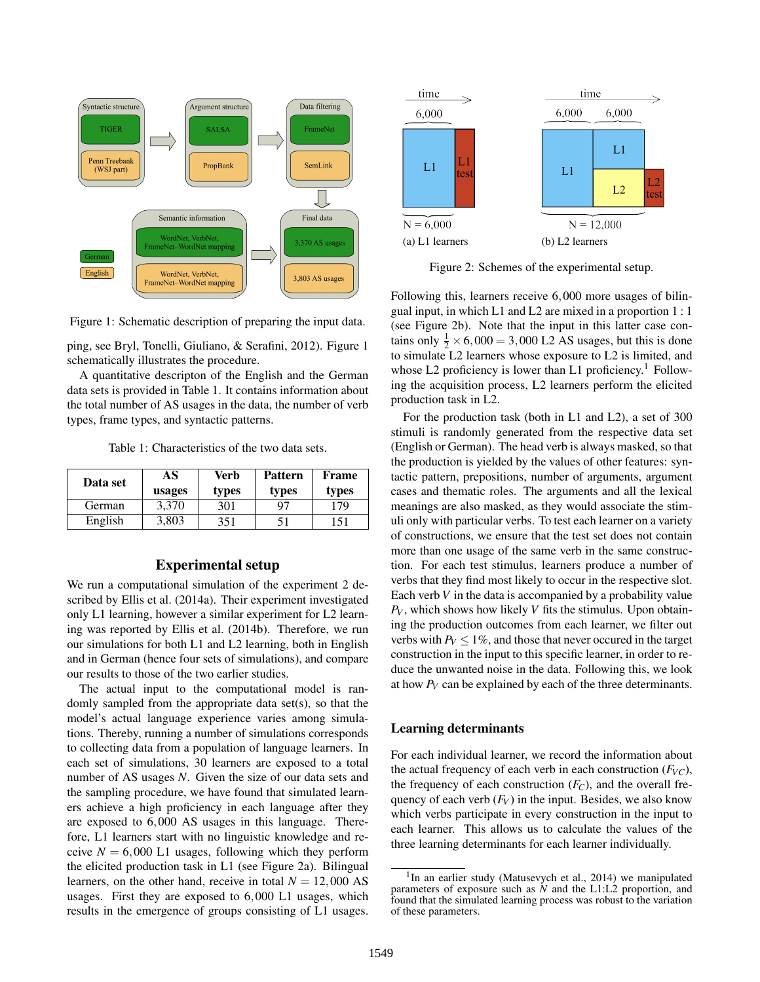

Figure 1: Schematic description of preparing the input data.

ping, see Bryl, Tonelli, Giuliano, & Serafini, 2012). Figure 1 schematically illustrates the procedure.

A quantitative descripton of the English and the German data sets is provided in Table 1. It contains information about the total number of AS usages in the data, the number of verb types, frame types, and syntactic patterns.

Table 1: Characteristics of the two data sets.

| Data set | AS.<br>usages | Verb<br>types | <b>Pattern</b><br>types | Frame<br>types |
|----------|---------------|---------------|-------------------------|----------------|
| German   | 3,370         | 301           | 97                      | 179            |
| English  | 3,803         | 351           | 51                      | 151            |

#### Experimental setup

We run a computational simulation of the experiment 2 described by Ellis et al. (2014a). Their experiment investigated only L1 learning, however a similar experiment for L2 learning was reported by Ellis et al. (2014b). Therefore, we run our simulations for both L1 and L2 learning, both in English and in German (hence four sets of simulations), and compare our results to those of the two earlier studies.

The actual input to the computational model is randomly sampled from the appropriate data set(s), so that the model's actual language experience varies among simulations. Thereby, running a number of simulations corresponds to collecting data from a population of language learners. In each set of simulations, 30 learners are exposed to a total number of AS usages *N*. Given the size of our data sets and the sampling procedure, we have found that simulated learners achieve a high proficiency in each language after they are exposed to 6,000 AS usages in this language. Therefore, L1 learners start with no linguistic knowledge and receive  $N = 6,000$  L1 usages, following which they perform the elicited production task in L1 (see Figure 2a). Bilingual learners, on the other hand, receive in total  $N = 12,000$  AS usages. First they are exposed to 6,000 L1 usages, which results in the emergence of groups consisting of L1 usages.



Figure 2: Schemes of the experimental setup.

Following this, learners receive 6,000 more usages of bilingual input, in which L1 and L2 are mixed in a proportion 1 : 1 (see Figure 2b). Note that the input in this latter case contains only  $\frac{1}{2} \times 6{,}000 = 3{,}000$  L2 AS usages, but this is done to simulate L2 learners whose exposure to L2 is limited, and whose L2 proficiency is lower than L1 proficiency.<sup>1</sup> Following the acquisition process, L2 learners perform the elicited production task in L2.

For the production task (both in L1 and L2), a set of 300 stimuli is randomly generated from the respective data set (English or German). The head verb is always masked, so that the production is yielded by the values of other features: syntactic pattern, prepositions, number of arguments, argument cases and thematic roles. The arguments and all the lexical meanings are also masked, as they would associate the stimuli only with particular verbs. To test each learner on a variety of constructions, we ensure that the test set does not contain more than one usage of the same verb in the same construction. For each test stimulus, learners produce a number of verbs that they find most likely to occur in the respective slot. Each verb *V* in the data is accompanied by a probability value  $P_V$ , which shows how likely *V* fits the stimulus. Upon obtaining the production outcomes from each learner, we filter out verbs with  $P_V \leq 1\%$ , and those that never occurred in the target construction in the input to this specific learner, in order to reduce the unwanted noise in the data. Following this, we look at how *P<sup>V</sup>* can be explained by each of the three determinants.

## Learning determinants

For each individual learner, we record the information about the actual frequency of each verb in each construction  $(F_{VC})$ , the frequency of each construction  $(F_C)$ , and the overall frequency of each verb  $(F_V)$  in the input. Besides, we also know which verbs participate in every construction in the input to each learner. This allows us to calculate the values of the three learning determinants for each learner individually.

<sup>&</sup>lt;sup>1</sup>In an earlier study (Matusevych et al., 2014) we manipulated parameters of exposure such as *N* and the L1:L2 proportion, and found that the simulated learning process was robust to the variation of these parameters.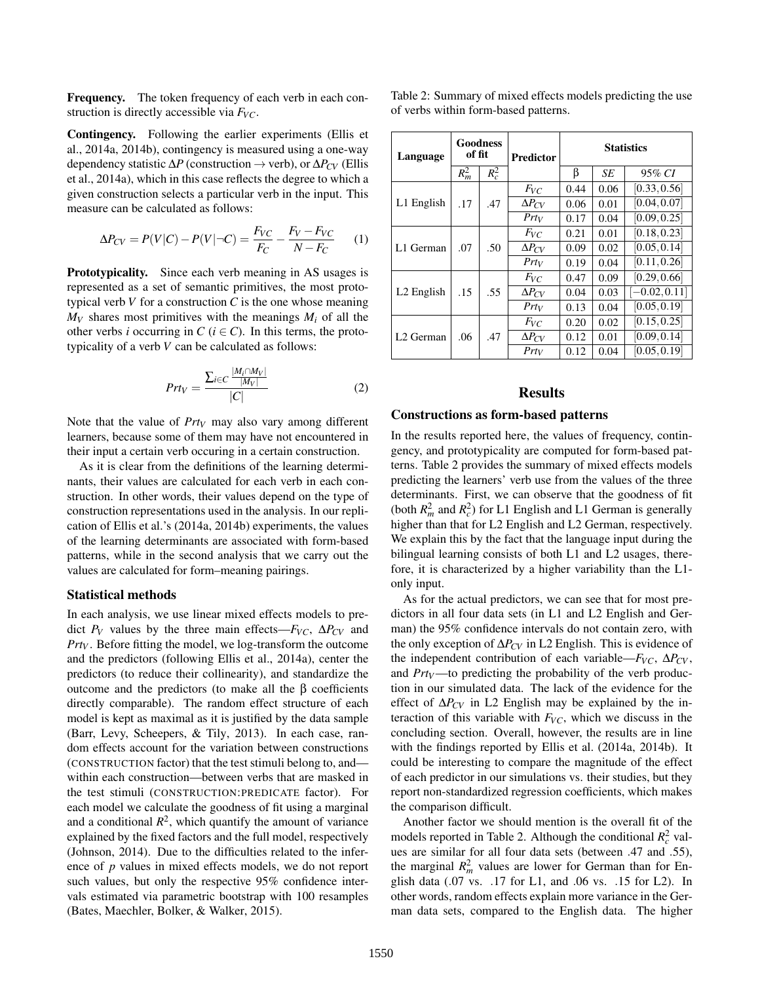Frequency. The token frequency of each verb in each construction is directly accessible via *FVC*.

Contingency. Following the earlier experiments (Ellis et al., 2014a, 2014b), contingency is measured using a one-way dependency statistic ∆*P* (construction → verb), or ∆*PCV* (Ellis et al., 2014a), which in this case reflects the degree to which a given construction selects a particular verb in the input. This measure can be calculated as follows:

$$
\Delta P_{CV} = P(V|C) - P(V|\neg C) = \frac{F_{VC}}{F_C} - \frac{F_V - F_{VC}}{N - F_C} \tag{1}
$$

Prototypicality. Since each verb meaning in AS usages is represented as a set of semantic primitives, the most prototypical verb *V* for a construction *C* is the one whose meaning  $M_V$  shares most primitives with the meanings  $M_i$  of all the other verbs *i* occurring in  $C$  ( $i \in C$ ). In this terms, the prototypicality of a verb *V* can be calculated as follows:

$$
Prt_V = \frac{\sum_{i \in C} \frac{|M_i \cap M_V|}{|M_V|}}{|C|} \tag{2}
$$

Note that the value of *Prt<sup>V</sup>* may also vary among different learners, because some of them may have not encountered in their input a certain verb occuring in a certain construction.

As it is clear from the definitions of the learning determinants, their values are calculated for each verb in each construction. In other words, their values depend on the type of construction representations used in the analysis. In our replication of Ellis et al.'s (2014a, 2014b) experiments, the values of the learning determinants are associated with form-based patterns, while in the second analysis that we carry out the values are calculated for form–meaning pairings.

#### Statistical methods

In each analysis, we use linear mixed effects models to predict  $P_V$  values by the three main effects— $F_{VC}$ ,  $\Delta P_{CV}$  and *Prt<sup>V</sup>* . Before fitting the model, we log-transform the outcome and the predictors (following Ellis et al., 2014a), center the predictors (to reduce their collinearity), and standardize the outcome and the predictors (to make all the β coefficients directly comparable). The random effect structure of each model is kept as maximal as it is justified by the data sample (Barr, Levy, Scheepers, & Tily, 2013). In each case, random effects account for the variation between constructions (CONSTRUCTION factor) that the test stimuli belong to, and within each construction—between verbs that are masked in the test stimuli (CONSTRUCTION:PREDICATE factor). For each model we calculate the goodness of fit using a marginal and a conditional  $R^2$ , which quantify the amount of variance explained by the fixed factors and the full model, respectively (Johnson, 2014). Due to the difficulties related to the inference of *p* values in mixed effects models, we do not report such values, but only the respective 95% confidence intervals estimated via parametric bootstrap with 100 resamples (Bates, Maechler, Bolker, & Walker, 2015).

Table 2: Summary of mixed effects models predicting the use of verbs within form-based patterns.

| Language               | Goodness<br>of fit |         | <b>Predictor</b> | <b>Statistics</b> |      |                 |
|------------------------|--------------------|---------|------------------|-------------------|------|-----------------|
|                        | $R_m^2$            | $R_c^2$ |                  | β                 | SE   | 95% CI          |
| L1 English             | .17                | .47     | $F_{VC}$         | 0.44              | 0.06 | [0.33, 0.56]    |
|                        |                    |         | $\Delta P_{CV}$  | 0.06              | 0.01 | [0.04, 0.07]    |
|                        |                    |         | $Prt_V$          | 0.17              | 0.04 | [0.09, 0.25]    |
| L1 German              | .07                | .50     | $F_{VC}$         | 0.21              | 0.01 | [0.18, 0.23]    |
|                        |                    |         | $\Delta P_{CV}$  | 0.09              | 0.02 | [0.05, 0.14]    |
|                        |                    |         | $Prt_V$          | 0.19              | 0.04 | [0.11, 0.26]    |
| L <sub>2</sub> English | .15                | .55     | $F_{VC}$         | 0.47              | 0.09 | [0.29, 0.66]    |
|                        |                    |         | $\Delta P_{CV}$  | 0.04              | 0.03 | $[-0.02, 0.11]$ |
|                        |                    |         | $Pr$ t $_V$      | 0.13              | 0.04 | [0.05, 0.19]    |
| L <sub>2</sub> German  | .06                | .47     | $F_{VC}$         | 0.20              | 0.02 | [0.15, 0.25]    |
|                        |                    |         | $\Delta P_{CV}$  | 0.12              | 0.01 | [0.09, 0.14]    |
|                        |                    |         | $Prt_V$          | 0.12              | 0.04 | [0.05, 0.19]    |

#### Results

#### Constructions as form-based patterns

In the results reported here, the values of frequency, contingency, and prototypicality are computed for form-based patterns. Table 2 provides the summary of mixed effects models predicting the learners' verb use from the values of the three determinants. First, we can observe that the goodness of fit (both  $R_m^2$  and  $R_c^2$ ) for L1 English and L1 German is generally higher than that for L2 English and L2 German, respectively. We explain this by the fact that the language input during the bilingual learning consists of both L1 and L2 usages, therefore, it is characterized by a higher variability than the L1 only input.

As for the actual predictors, we can see that for most predictors in all four data sets (in L1 and L2 English and German) the 95% confidence intervals do not contain zero, with the only exception of ∆*PCV* in L2 English. This is evidence of the independent contribution of each variable— $F_{VC}$ ,  $\Delta P_{CV}$ , and  $Prt_V$ —to predicting the probability of the verb production in our simulated data. The lack of the evidence for the effect of ∆*PCV* in L2 English may be explained by the interaction of this variable with *FVC*, which we discuss in the concluding section. Overall, however, the results are in line with the findings reported by Ellis et al. (2014a, 2014b). It could be interesting to compare the magnitude of the effect of each predictor in our simulations vs. their studies, but they report non-standardized regression coefficients, which makes the comparison difficult.

Another factor we should mention is the overall fit of the models reported in Table 2. Although the conditional  $R_c^2$  values are similar for all four data sets (between .47 and .55), the marginal  $R_m^2$  values are lower for German than for English data (.07 vs. .17 for L1, and .06 vs. .15 for L2). In other words, random effects explain more variance in the German data sets, compared to the English data. The higher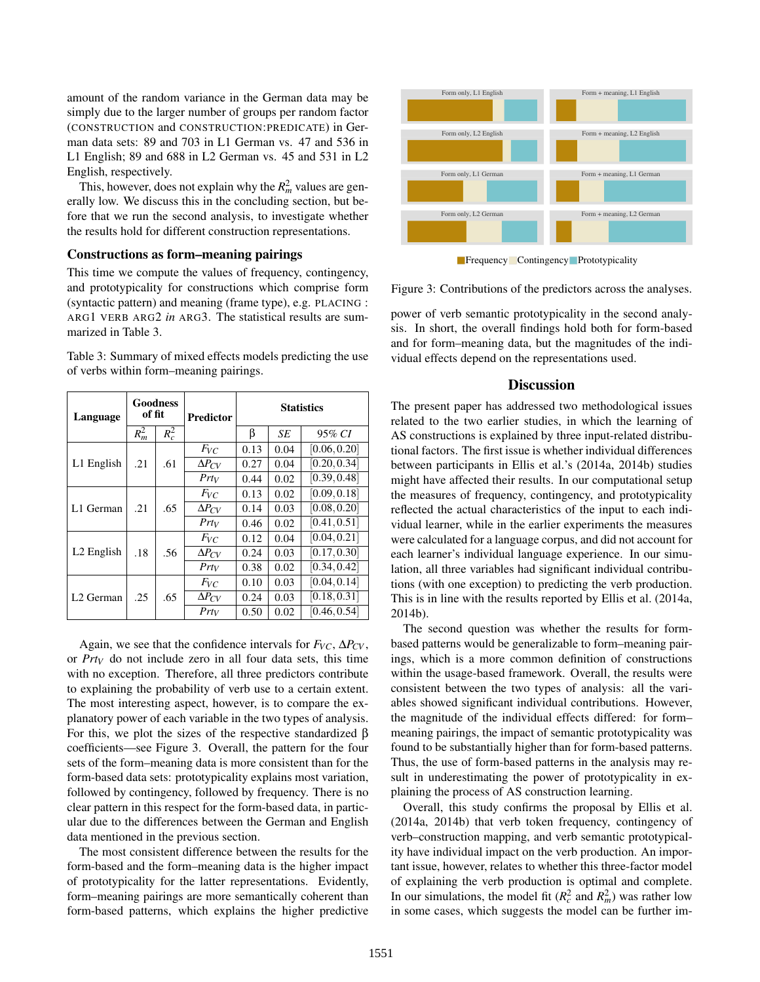amount of the random variance in the German data may be simply due to the larger number of groups per random factor (CONSTRUCTION and CONSTRUCTION:PREDICATE) in German data sets: 89 and 703 in L1 German vs. 47 and 536 in L1 English; 89 and 688 in L2 German vs. 45 and 531 in L2 English, respectively.

This, however, does not explain why the  $R_m^2$  values are generally low. We discuss this in the concluding section, but before that we run the second analysis, to investigate whether the results hold for different construction representations.

#### Constructions as form–meaning pairings

This time we compute the values of frequency, contingency, and prototypicality for constructions which comprise form (syntactic pattern) and meaning (frame type), e.g. PLACING : ARG1 VERB ARG2 *in* ARG3. The statistical results are summarized in Table 3.

Table 3: Summary of mixed effects models predicting the use of verbs within form–meaning pairings.

| Language               | Goodness<br>of fit |         | <b>Predictor</b> | <b>Statistics</b> |      |              |
|------------------------|--------------------|---------|------------------|-------------------|------|--------------|
|                        | $R_m^2$            | $R_c^2$ |                  | ß                 | SE   | 95% CI       |
| L1 English             | .21                | .61     | $F_{VC}$         | 0.13              | 0.04 | [0.06, 0.20] |
|                        |                    |         | $\Delta P_{CV}$  | 0.27              | 0.04 | [0.20, 0.34] |
|                        |                    |         | $Prt_V$          | 0.44              | 0.02 | [0.39, 0.48] |
| L1 German              | .21                | .65     | $F_{VC}$         | 0.13              | 0.02 | [0.09, 0.18] |
|                        |                    |         | $\Delta P_{CV}$  | 0.14              | 0.03 | [0.08, 0.20] |
|                        |                    |         | $Prt_V$          | 0.46              | 0.02 | [0.41, 0.51] |
| L <sub>2</sub> English | .18                | .56     | $F_{VC}$         | 0.12              | 0.04 | [0.04, 0.21] |
|                        |                    |         | $\Delta P_{CV}$  | 0.24              | 0.03 | [0.17, 0.30] |
|                        |                    |         | $Prt_V$          | 0.38              | 0.02 | [0.34, 0.42] |
| L <sub>2</sub> German  | .25                | .65     | $F_{VC}$         | 0.10              | 0.03 | [0.04, 0.14] |
|                        |                    |         | $\Delta P_{CV}$  | 0.24              | 0.03 | [0.18, 0.31] |
|                        |                    |         | $Pr$ ty          | 0.50              | 0.02 | [0.46, 0.54] |

Again, we see that the confidence intervals for  $F_{VC}$ ,  $\Delta P_{CV}$ , or *Prt<sup>V</sup>* do not include zero in all four data sets, this time with no exception. Therefore, all three predictors contribute to explaining the probability of verb use to a certain extent. The most interesting aspect, however, is to compare the explanatory power of each variable in the two types of analysis. For this, we plot the sizes of the respective standardized  $\beta$ coefficients—see Figure 3. Overall, the pattern for the four sets of the form–meaning data is more consistent than for the form-based data sets: prototypicality explains most variation, followed by contingency, followed by frequency. There is no clear pattern in this respect for the form-based data, in particular due to the differences between the German and English data mentioned in the previous section.

The most consistent difference between the results for the form-based and the form–meaning data is the higher impact of prototypicality for the latter representations. Evidently, form–meaning pairings are more semantically coherent than form-based patterns, which explains the higher predictive



Frequency Contingency Prototypicality

Figure 3: Contributions of the predictors across the analyses.

power of verb semantic prototypicality in the second analysis. In short, the overall findings hold both for form-based and for form–meaning data, but the magnitudes of the individual effects depend on the representations used.

#### **Discussion**

The present paper has addressed two methodological issues related to the two earlier studies, in which the learning of AS constructions is explained by three input-related distributional factors. The first issue is whether individual differences between participants in Ellis et al.'s (2014a, 2014b) studies might have affected their results. In our computational setup the measures of frequency, contingency, and prototypicality reflected the actual characteristics of the input to each individual learner, while in the earlier experiments the measures were calculated for a language corpus, and did not account for each learner's individual language experience. In our simulation, all three variables had significant individual contributions (with one exception) to predicting the verb production. This is in line with the results reported by Ellis et al. (2014a, 2014b).

The second question was whether the results for formbased patterns would be generalizable to form–meaning pairings, which is a more common definition of constructions within the usage-based framework. Overall, the results were consistent between the two types of analysis: all the variables showed significant individual contributions. However, the magnitude of the individual effects differed: for form– meaning pairings, the impact of semantic prototypicality was found to be substantially higher than for form-based patterns. Thus, the use of form-based patterns in the analysis may result in underestimating the power of prototypicality in explaining the process of AS construction learning.

Overall, this study confirms the proposal by Ellis et al. (2014a, 2014b) that verb token frequency, contingency of verb–construction mapping, and verb semantic prototypicality have individual impact on the verb production. An important issue, however, relates to whether this three-factor model of explaining the verb production is optimal and complete. In our simulations, the model fit  $(R_c^2 \text{ and } R_m^2)$  was rather low in some cases, which suggests the model can be further im